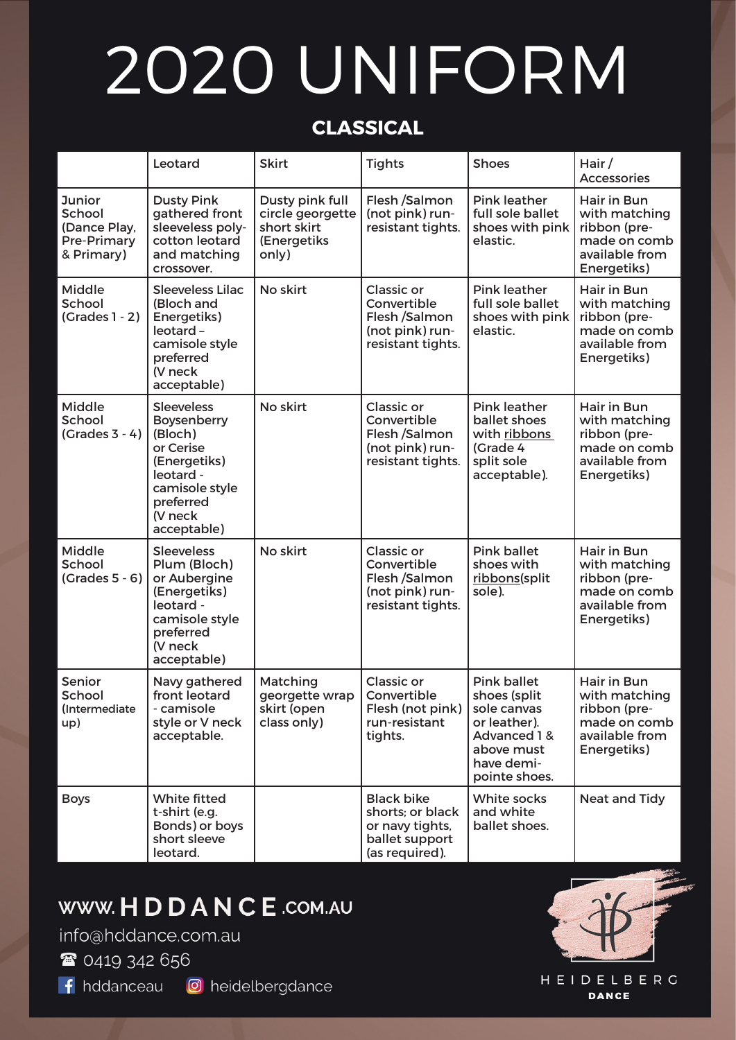# 2020 UNIFORM

### **CLASSICAL**

|                                                                             | Leotard                                                                                                                                        | <b>Skirt</b>                                                               | <b>Tights</b>                                                                                | <b>Shoes</b>                                                                                                                   | Hair/<br><b>Accessories</b>                                                                   |
|-----------------------------------------------------------------------------|------------------------------------------------------------------------------------------------------------------------------------------------|----------------------------------------------------------------------------|----------------------------------------------------------------------------------------------|--------------------------------------------------------------------------------------------------------------------------------|-----------------------------------------------------------------------------------------------|
| <b>Junior</b><br>School<br>(Dance Play,<br><b>Pre-Primary</b><br>& Primary) | <b>Dusty Pink</b><br>gathered front<br>sleeveless poly-<br>cotton leotard<br>and matching<br>crossover.                                        | Dusty pink full<br>circle georgette<br>short skirt<br>(Energetiks<br>only) | Flesh /Salmon<br>(not pink) run-<br>resistant tights.                                        | <b>Pink leather</b><br>full sole ballet<br>shoes with pink<br>elastic.                                                         | Hair in Bun<br>with matching<br>ribbon (pre-<br>made on comb<br>available from<br>Energetiks) |
| Middle<br>School<br>$(Grades 1 - 2)$                                        | <b>Sleeveless Lilac</b><br>(Bloch and<br>Energetiks)<br>leotard-<br>camisole style<br>preferred<br>(V neck<br>acceptable)                      | No skirt                                                                   | Classic or<br>Convertible<br>Flesh /Salmon<br>(not pink) run-<br>resistant tights.           | <b>Pink leather</b><br>full sole ballet<br>shoes with pink<br>elastic.                                                         | Hair in Bun<br>with matching<br>ribbon (pre-<br>made on comb<br>available from<br>Energetiks) |
| Middle<br>School<br>$(Grades 3 - 4)$                                        | <b>Sleeveless</b><br>Boysenberry<br>(Bloch)<br>or Cerise<br>(Energetiks)<br>leotard -<br>camisole style<br>preferred<br>(V neck<br>acceptable) | No skirt                                                                   | <b>Classic or</b><br>Convertible<br>Flesh /Salmon<br>(not pink) run-<br>resistant tights.    | <b>Pink leather</b><br>ballet shoes<br>with ribbons<br>(Grade 4<br>split sole<br>acceptable).                                  | Hair in Bun<br>with matching<br>ribbon (pre-<br>made on comb<br>available from<br>Energetiks) |
| <b>Middle</b><br>School<br>$(Grades 5 - 6)$                                 | <b>Sleeveless</b><br>Plum (Bloch)<br>or Aubergine<br>(Energetiks)<br>leotard -<br>camisole style<br>preferred<br>(V neck<br>acceptable)        | No skirt                                                                   | <b>Classic or</b><br>Convertible<br>Flesh /Salmon<br>(not pink) run-<br>resistant tights.    | <b>Pink ballet</b><br>shoes with<br>ribbons(split<br>sole).                                                                    | Hair in Bun<br>with matching<br>ribbon (pre-<br>made on comb<br>available from<br>Energetiks) |
| Senior<br>School<br>(Intermediate<br>up)                                    | Navy gathered<br>front leotard<br>- camisole<br>style or V neck<br>acceptable.                                                                 | Matching<br>georgette wrap<br>skirt (open<br>class only)                   | <b>Classic or</b><br>Convertible<br>Flesh (not pink)<br>run-resistant<br>tights.             | <b>Pink ballet</b><br>shoes (split<br>sole canvas<br>or leather).<br>Advanced 1 &<br>above must<br>have demi-<br>pointe shoes. | Hair in Bun<br>with matching<br>ribbon (pre-<br>made on comb<br>available from<br>Energetiks) |
| <b>Boys</b>                                                                 | White fitted<br>t-shirt (e.g.<br>Bonds) or boys<br>short sleeve<br>leotard.                                                                    |                                                                            | <b>Black bike</b><br>shorts: or black<br>or navy tights,<br>ballet support<br>(as required). | White socks<br>and white<br>ballet shoes.                                                                                      | <b>Neat and Tidy</b>                                                                          |

## WWW. H D D A N C E .COM.AU

info@hddance.com.au

<sup>2</sup>0419 342 656

f hddanceau @ heidelbergdance

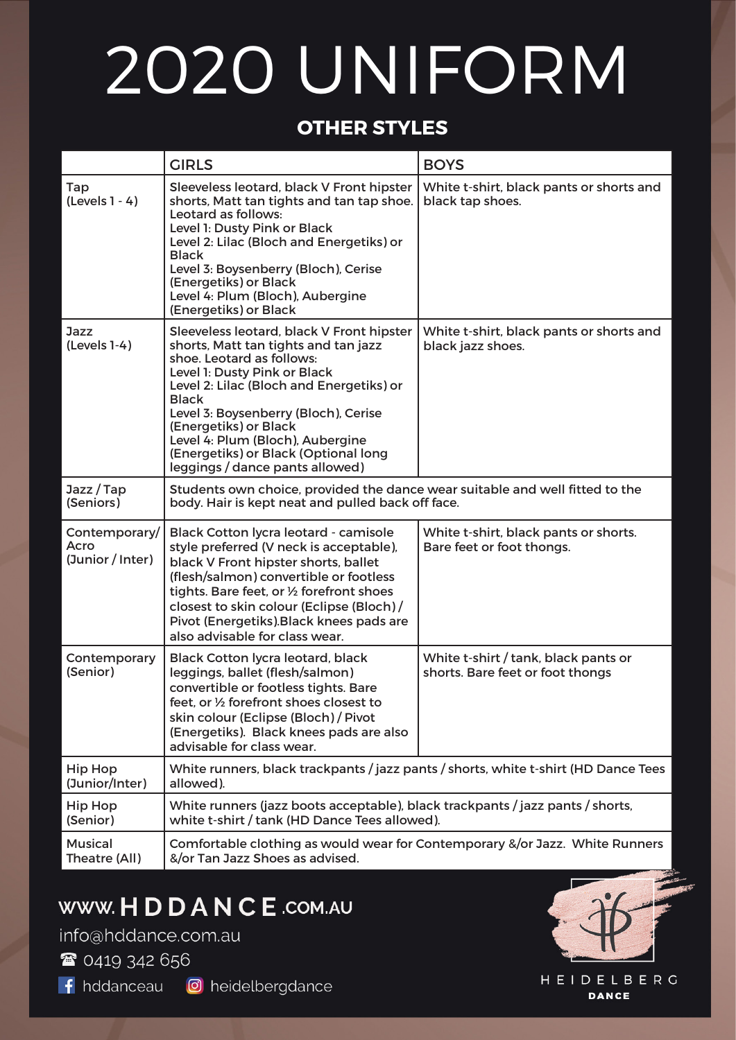# 2020 UNIFORM

#### **OTHER STYLES**

|                                           | <b>GIRLS</b>                                                                                                                                                                                                                                                                                                                                                                               | <b>BOYS</b>                                                              |  |  |
|-------------------------------------------|--------------------------------------------------------------------------------------------------------------------------------------------------------------------------------------------------------------------------------------------------------------------------------------------------------------------------------------------------------------------------------------------|--------------------------------------------------------------------------|--|--|
| Tap<br>$(Levels 1 - 4)$                   | Sleeveless leotard, black V Front hipster<br>shorts, Matt tan tights and tan tap shoe.<br>Leotard as follows:<br>Level 1: Dusty Pink or Black<br>Level 2: Lilac (Bloch and Energetiks) or<br><b>Black</b><br>Level 3: Boysenberry (Bloch), Cerise<br>(Energetiks) or Black<br>Level 4: Plum (Bloch), Aubergine<br>(Energetiks) or Black                                                    | White t-shirt, black pants or shorts and<br>black tap shoes.             |  |  |
| Jazz<br>$(Levels 1-4)$                    | Sleeveless leotard, black V Front hipster<br>shorts, Matt tan tights and tan jazz<br>shoe. Leotard as follows:<br>Level 1: Dusty Pink or Black<br>Level 2: Lilac (Bloch and Energetiks) or<br><b>Black</b><br>Level 3: Boysenberry (Bloch), Cerise<br>(Energetiks) or Black<br>Level 4: Plum (Bloch), Aubergine<br>(Energetiks) or Black (Optional long<br>leggings / dance pants allowed) | White t-shirt, black pants or shorts and<br>black jazz shoes.            |  |  |
| Jazz/Tap<br>(Seniors)                     | Students own choice, provided the dance wear suitable and well fitted to the<br>body. Hair is kept neat and pulled back off face.                                                                                                                                                                                                                                                          |                                                                          |  |  |
| Contemporary/<br>Acro<br>(Junior / Inter) | Black Cotton lycra leotard - camisole<br>style preferred (V neck is acceptable),<br>black V Front hipster shorts, ballet<br>(flesh/salmon) convertible or footless<br>tights. Bare feet, or 1/2 forefront shoes<br>closest to skin colour (Eclipse (Bloch)/<br>Pivot (Energetiks). Black knees pads are<br>also advisable for class wear.                                                  | White t-shirt, black pants or shorts.<br>Bare feet or foot thongs.       |  |  |
| Contemporary<br>(Senior)                  | <b>Black Cotton lycra leotard, black</b><br>leggings, ballet (flesh/salmon)<br>convertible or footless tights. Bare<br>feet, or 1/2 forefront shoes closest to<br>skin colour (Eclipse (Bloch) / Pivot<br>(Energetiks). Black knees pads are also<br>advisable for class wear.                                                                                                             | White t-shirt / tank, black pants or<br>shorts. Bare feet or foot thongs |  |  |
| <b>Hip Hop</b><br>(Junior/Inter)          | White runners, black trackpants / jazz pants / shorts, white t-shirt (HD Dance Tees<br>allowed).                                                                                                                                                                                                                                                                                           |                                                                          |  |  |
| <b>Hip Hop</b><br>(Senior)                | White runners (jazz boots acceptable), black trackpants / jazz pants / shorts,<br>white t-shirt / tank (HD Dance Tees allowed).                                                                                                                                                                                                                                                            |                                                                          |  |  |
| <b>Musical</b><br>Theatre (All)           | Comfortable clothing as would wear for Contemporary &/or Jazz. White Runners<br>&/or Tan Jazz Shoes as advised.                                                                                                                                                                                                                                                                            |                                                                          |  |  |

### WWW. H D D A N C E .COM.AU

info@hddance.com.au

<sup>2</sup>0419 342 656

f hddanceau **O** heidelbergdance



**HEIDELBERG DANCE**